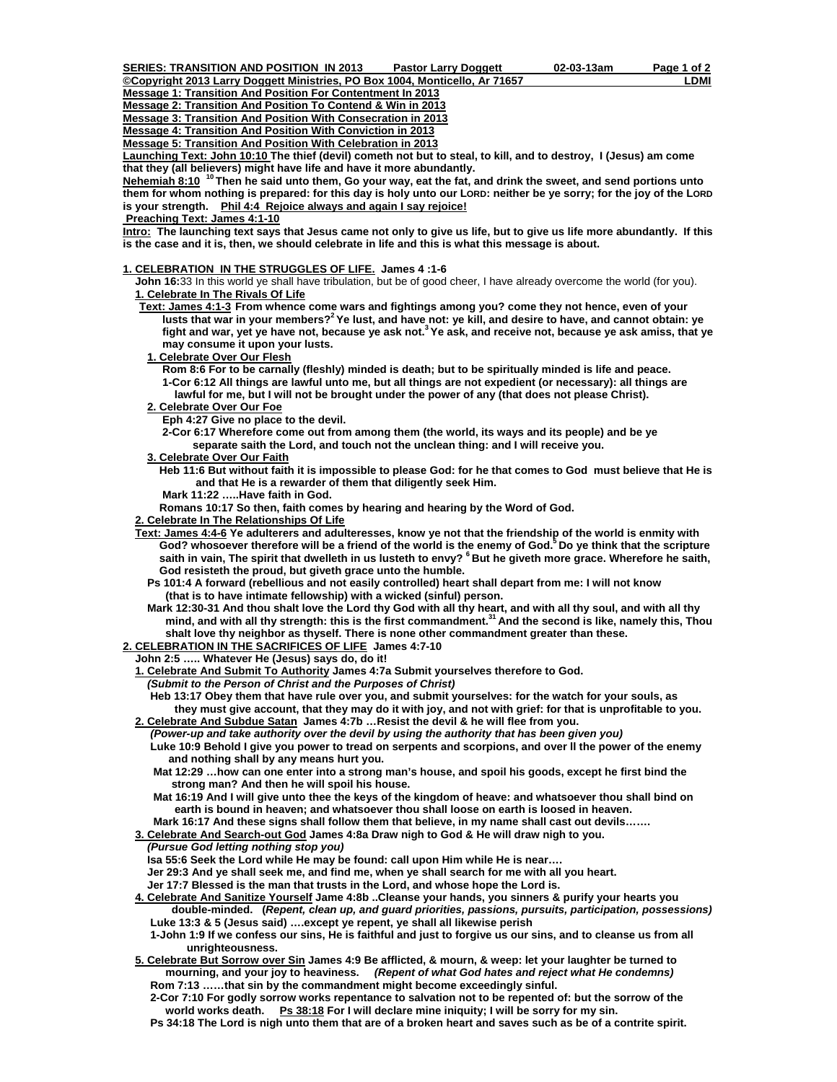**Message 1: Transition And Position For Contentment In 2013**

**Message 2: Transition And Position To Contend & Win in 2013**

**Message 3: Transition And Position With Consecration in 2013**

- **Message 4: Transition And Position With Conviction in 2013**
- **Message 5: Transition And Position With Celebration in 2013**

**Launching Text: John 10:10 The thief (devil) cometh not but to steal, to kill, and to destroy, I (Jesus) am come that they (all believers) might have life and have it more abundantly.** 

**Nehemiah 8:10 10 Then he said unto them, Go your way, eat the fat, and drink the sweet, and send portions unto them for whom nothing is prepared: for this day is holy unto our LORD: neither be ye sorry; for the joy of the LORD is your strength. Phil 4:4 Rejoice always and again I say rejoice!**

 **Preaching Text: James 4:1-10**

**Intro: The launching text says that Jesus came not only to give us life, but to give us life more abundantly. If this is the case and it is, then, we should celebrate in life and this is what this message is about.** 

## **1. CELEBRATION IN THE STRUGGLES OF LIFE. James 4 :1-6**

 **John 16:**33 In this world ye shall have tribulation, but be of good cheer, I have already overcome the world (for you). **1. Celebrate In The Rivals Of Life**

- **Text: James 4:1-3 From whence come wars and fightings among you? come they not hence, even of your**  lusts that war in your members?<sup>2</sup> Ye lust, and have not: ye kill, and desire to have, and cannot obtain: ye  **fight and war, yet ye have not, because ye ask not.3 Ye ask, and receive not, because ye ask amiss, that ye may consume it upon your lusts.**
	- **1. Celebrate Over Our Flesh**

 **Rom 8:6 For to be carnally (fleshly) minded is death; but to be spiritually minded is life and peace. 1-Cor 6:12 All things are lawful unto me, but all things are not expedient (or necessary): all things are lawful for me, but I will not be brought under the power of any (that does not please Christ).** 

- **2. Celebrate Over Our Foe**
	- **Eph 4:27 Give no place to the devil.**

 **2-Cor 6:17 Wherefore come out from among them (the world, its ways and its people) and be ye separate saith the Lord, and touch not the unclean thing: and I will receive you.** 

- **3. Celebrate Over Our Faith**
	- **Heb 11:6 But without faith it is impossible to please God: for he that comes to God must believe that He is and that He is a rewarder of them that diligently seek Him.**
	- **Mark 11:22 …..Have faith in God.**

 **Romans 10:17 So then, faith comes by hearing and hearing by the Word of God.** 

 **2. Celebrate In The Relationships Of Life**

 **Text: James 4:4-6 Ye adulterers and adulteresses, know ye not that the friendship of the world is enmity with**  God? whosoever therefore will be a friend of the world is the enemy of God.<sup>5</sup> Do ye think that the scripture saith in vain, The spirit that dwelleth in us lusteth to envy? <sup>6</sup> But he giveth more grace. Wherefore he saith,  **God resisteth the proud, but giveth grace unto the humble.** 

- **Ps 101:4 A forward (rebellious and not easily controlled) heart shall depart from me: I will not know (that is to have intimate fellowship) with a wicked (sinful) person.**
- **Mark 12:30-31 And thou shalt love the Lord thy God with all thy heart, and with all thy soul, and with all thy mind, and with all thy strength: this is the first commandment.31 And the second is like, namely this, Thou shalt love thy neighbor as thyself. There is none other commandment greater than these.**

## **2. CELEBRATION IN THE SACRIFICES OF LIFE James 4:7-10**

 **John 2:5 ….. Whatever He (Jesus) says do, do it!** 

 **1. Celebrate And Submit To Authority James 4:7a Submit yourselves therefore to God.** 

*(Submit to the Person of Christ and the Purposes of Christ)* 

 **Heb 13:17 Obey them that have rule over you, and submit yourselves: for the watch for your souls, as they must give account, that they may do it with joy, and not with grief: for that is unprofitable to you.** 

 **2. Celebrate And Subdue Satan James 4:7b …Resist the devil & he will flee from you.** 

*(Power-up and take authority over the devil by using the authority that has been given you)*  **Luke 10:9 Behold I give you power to tread on serpents and scorpions, and over ll the power of the enemy and nothing shall by any means hurt you.** 

 **Mat 12:29 …how can one enter into a strong man's house, and spoil his goods, except he first bind the strong man? And then he will spoil his house.** 

 **Mat 16:19 And I will give unto thee the keys of the kingdom of heave: and whatsoever thou shall bind on earth is bound in heaven; and whatsoever thou shall loose on earth is loosed in heaven.** 

 **Mark 16:17 And these signs shall follow them that believe, in my name shall cast out devils…….** 

- **3. Celebrate And Search-out God James 4:8a Draw nigh to God & He will draw nigh to you.** 
	- *(Pursue God letting nothing stop you)*

 **Isa 55:6 Seek the Lord while He may be found: call upon Him while He is near….** 

 **Jer 29:3 And ye shall seek me, and find me, when ye shall search for me with all you heart.** 

 **Jer 17:7 Blessed is the man that trusts in the Lord, and whose hope the Lord is.** 

 **4. Celebrate And Sanitize Yourself Jame 4:8b ..Cleanse your hands, you sinners & purify your hearts you** 

 **double-minded. (***Repent, clean up, and guard priorities, passions, pursuits, participation, possessions)*  **Luke 13:3 & 5 (Jesus said) ….except ye repent, ye shall all likewise perish** 

 **1-John 1:9 If we confess our sins, He is faithful and just to forgive us our sins, and to cleanse us from all unrighteousness.** 

 **5. Celebrate But Sorrow over Sin James 4:9 Be afflicted, & mourn, & weep: let your laughter be turned to mourning, and your joy to heaviness.** *(Repent of what God hates and reject what He condemns)*  **Rom 7:13 ……that sin by the commandment might become exceedingly sinful.** 

 **2-Cor 7:10 For godly sorrow works repentance to salvation not to be repented of: but the sorrow of the**  world works death. Ps 38:18 For I will declare mine iniquity; I will be sorry for my sin.

 **Ps 34:18 The Lord is nigh unto them that are of a broken heart and saves such as be of a contrite spirit.**